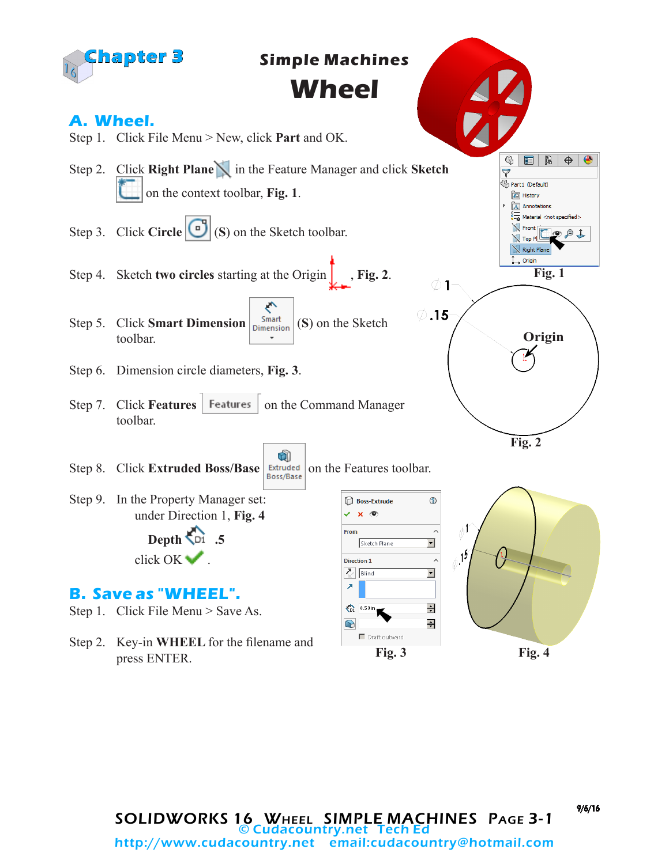

9/6/16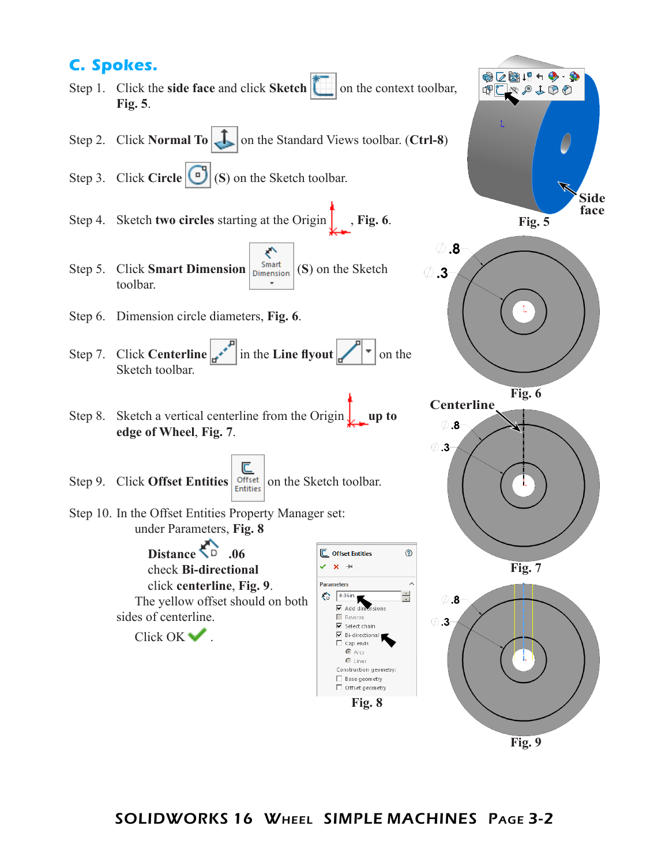## **C. Spokes.**

- Step 1. Click the **side face** and click **Sketch** on the context toolbar, **Fig. 5**.
- Step 2. Click **Normal To T** on the Standard Views toolbar. (Ctrl-8)
- Step 3. Click **Circle** (**S**) on the Sketch toolbar.
- Step 4. Sketch **two circles** starting at the Origin  $\int$ , **Fig. 6**.
- ← Step 5. Click **Smart Dimension**  $\begin{array}{c} \n\text{Smat} \\
\text{Dimension}\n\end{array}$  (S) on the Sketch toolbar.
- Step 6. Dimension circle diameters, **Fig. 6**.
- Step 7. Click **Centerline**  $\begin{bmatrix} a & b \end{bmatrix}$  in the **Line flyout**  $\begin{bmatrix} \mathbf{r} \\ \mathbf{r} \end{bmatrix}$  on the Sketch toolbar.
- Step 8. Sketch a vertical centerline from the Origin **up to edge of Wheel**, **Fig. 7**.
- Step 9. Click **Offset Entities**  $\left|\frac{\overline{C}}{\text{Entities}}\right|$  on the Sketch toolbar.
- Step 10. In the Offset Entities Property Manager set: under Parameters, **Fig. 8**

Distance  $\overline{D}$  .06 check **Bi-directional** click **centerline**, **Fig. 9**. The yellow offset should on both sides of centerline.  $Click OK \blacktriangleright$ .

**C** Offset Entities ⊙  $\mathbf{v} \cdot \mathbf{x} +$ **Parameters**  $\n<sup>2</sup> = 0.06$ in E  $\overline{\phantom{a}}$  Add din Reverse  $\overline{\mathbf{v}}$  Select chain Bi-directional Cap ends п  $\bullet$  Arcs C Lines Construction geometry: Base geometry □ Offset geometry **Fig. 8**



 $\emptyset$  .3







**Fig. 9**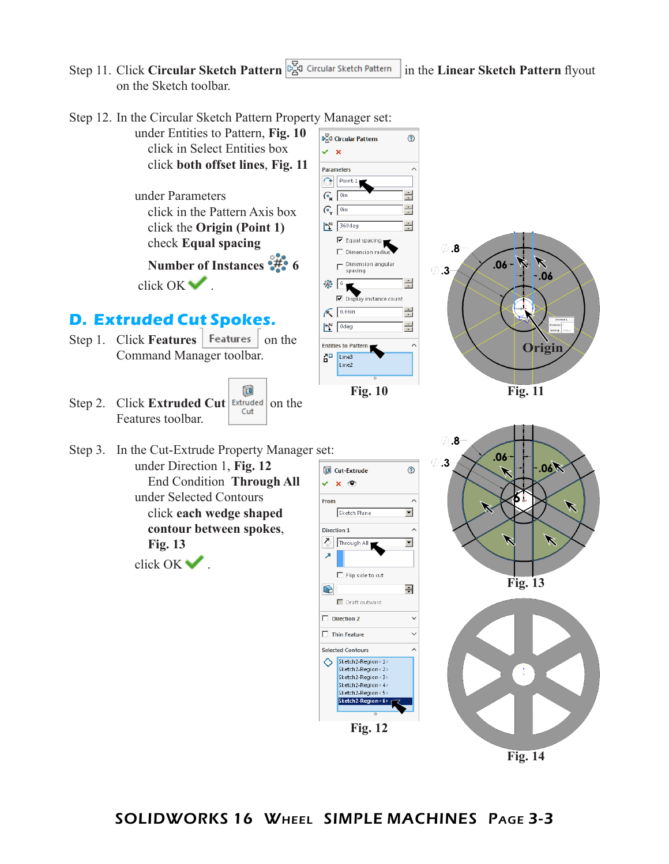Step 11. Click **Circular Sketch Pattern** in the **Linear Sketch Pattern** flyout on the Sketch toolbar.



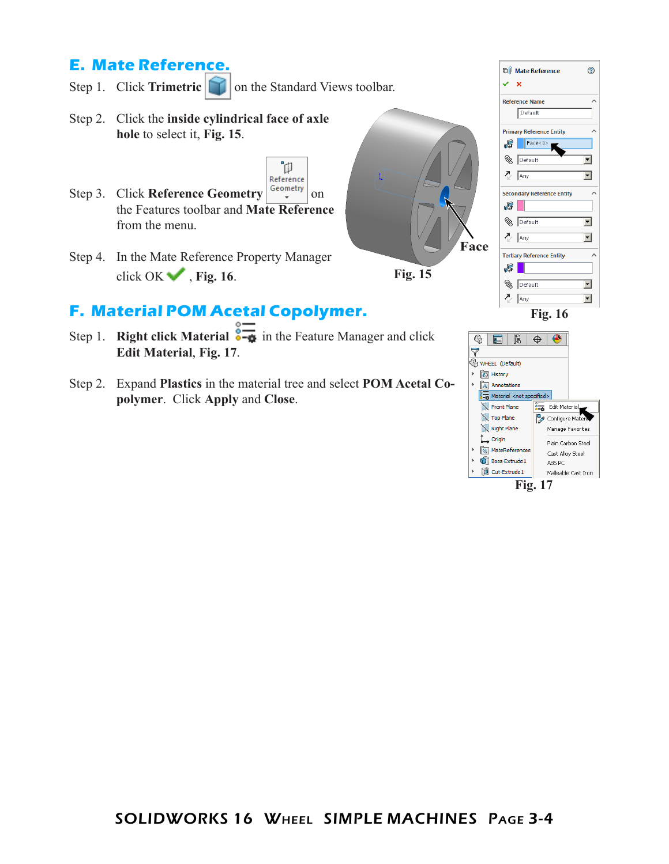## **E. Mate Reference.**

- Step 1. Click **Trimetric on** the Standard Views toolbar.
- Step 2. Click the **inside cylindrical face of axle hole** to select it, **Fig. 15**.
- Reference Step 3. Click **Reference Geometry**  $\begin{bmatrix} \text{Geometry} \\ \text{Simplify} \end{bmatrix}$  on the Features toolbar and **Mate Reference** from the menu.
- Step 4. In the Mate Reference Property Manager click OK , **Fig. 16**.

## **F. Material POM Acetal Copolymer.**

Step 1. **Right click Material**  $\frac{1}{\sqrt{2}}$  in the Feature Manager and click **Edit Material**, **Fig. 17**.

ิ้นี

Step 2. Expand **Plastics** in the material tree and select **POM Acetal Copolymer**. Click **Apply** and **Close**.



 $\frac{8}{3-6}$  Material <not sp

MateReferences

**Boss-Extrude 1** 

Cut-Extrude1

Front Plane Top Plane Right Plane

L<sub>+</sub> Origin

**Fig. 17**

Edit Material<br>
2 Configure Materia

Manage Favorites

Plain Carbon Steel

Malleable Cast Iron

Cast Alloy Steel

ABS PC